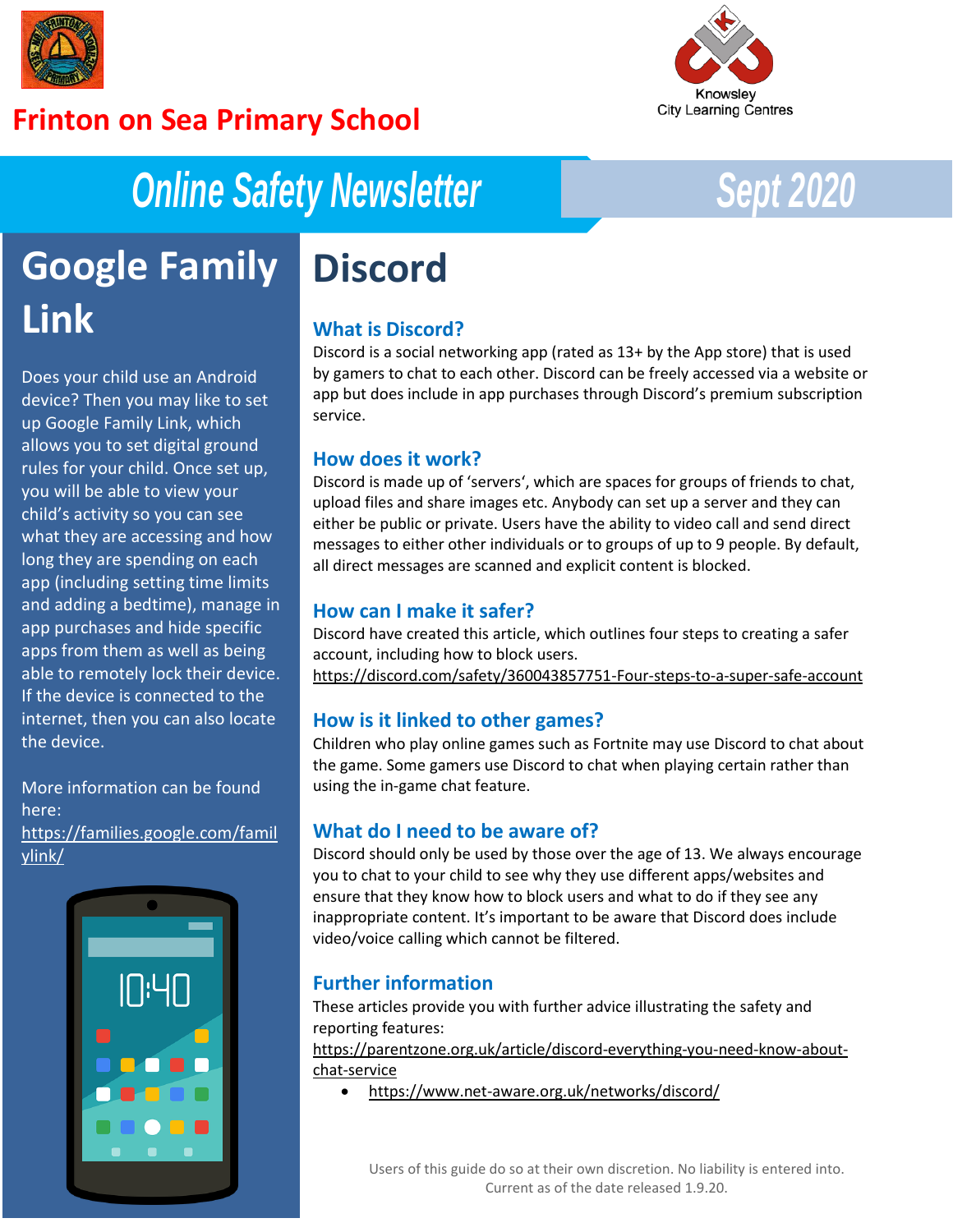

## **Frinton on Sea Primary School**



# *Online Safety Newsletter Sept 2020*

# **Google Family Link**

Does your child use an Android device? Then you may like to set up Google Family Link, which allows you to set digital ground rules for your child. Once set up, you will be able to view your child's activity so you can see what they are accessing and how long they are spending on each app (including setting time limits and adding a bedtime), manage in app purchases and hide specific apps from them as well as being able to remotely lock their device. If the device is connected to the internet, then you can also locate the device.

More information can be found here: [https://families.google.com/famil](https://families.google.com/familylink/) [ylink/](https://families.google.com/familylink/)



# **Discord**

### **What is Discord?**

Discord is a social networking app (rated as 13+ by the App store) that is used by gamers to chat to each other. Discord can be freely accessed via a website or app but does include in app purchases through Discord's premium subscription service.

### **How does it work?**

Discord is made up of 'servers', which are spaces for groups of friends to chat, upload files and share images etc. Anybody can set up a server and they can either be public or private. Users have the ability to video call and send direct messages to either other individuals or to groups of up to 9 people. By default, all direct messages are scanned and explicit content is blocked.

### **How can I make it safer?**

Discord have created this article, which outlines four steps to creating a safer account, including how to block users. <https://discord.com/safety/360043857751-Four-steps-to-a-super-safe-account>

### **How is it linked to other games?**

Children who play online games such as Fortnite may use Discord to chat about the game. Some gamers use Discord to chat when playing certain rather than using the in-game chat feature.

### **What do I need to be aware of?**

Discord should only be used by those over the age of 13. We always encourage you to chat to your child to see why they use different apps/websites and ensure that they know how to block users and what to do if they see any inappropriate content. It's important to be aware that Discord does include video/voice calling which cannot be filtered.

### **Further information**

These articles provide you with further advice illustrating the safety and reporting features:

[https://parentzone.org.uk/article/discord-everything-you-need-know-about](https://parentzone.org.uk/article/discord-everything-you-need-know-about-chat-service)[chat-service](https://parentzone.org.uk/article/discord-everything-you-need-know-about-chat-service)

• <https://www.net-aware.org.uk/networks/discord/>

Users of this guide do so at their own discretion. No liability is entered into. Current as of the date released 1.9.20.